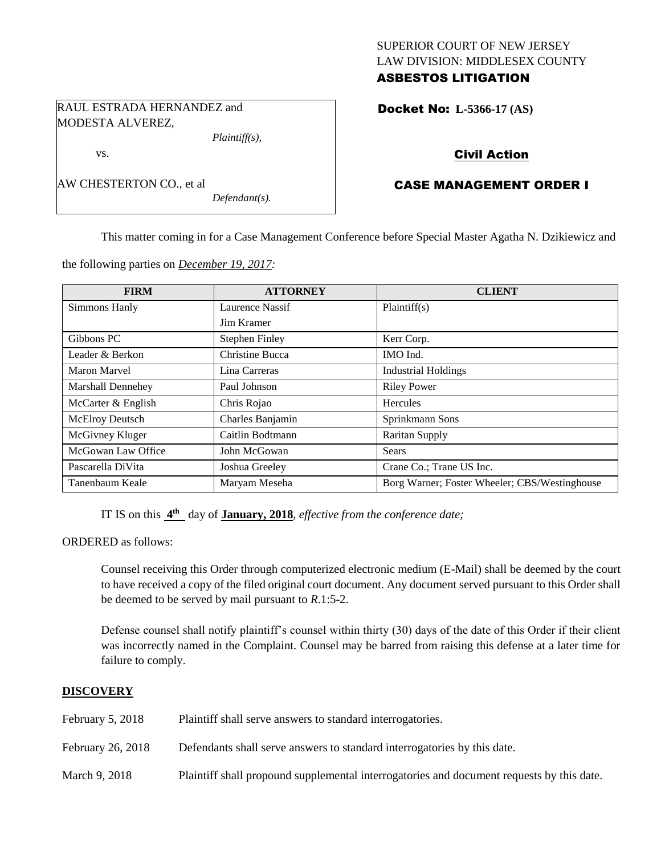#### SUPERIOR COURT OF NEW JERSEY LAW DIVISION: MIDDLESEX COUNTY ASBESTOS LITIGATION

RAUL ESTRADA HERNANDEZ and MODESTA ALVEREZ,

vs.

*Plaintiff(s),*

| AW CHESTERTON CO., et al |  |
|--------------------------|--|
|--------------------------|--|

*Defendant(s).*

### Docket No: **L-5366-17 (AS)**

# Civil Action

# CASE MANAGEMENT ORDER I

This matter coming in for a Case Management Conference before Special Master Agatha N. Dzikiewicz and

the following parties on *December 19, 2017:*

| <b>FIRM</b>            | <b>ATTORNEY</b>       | <b>CLIENT</b>                                 |
|------------------------|-----------------------|-----------------------------------------------|
| Simmons Hanly          | Laurence Nassif       | Plaintiff(s)                                  |
|                        | Jim Kramer            |                                               |
| Gibbons PC             | <b>Stephen Finley</b> | Kerr Corp.                                    |
| Leader & Berkon        | Christine Bucca       | IMO Ind.                                      |
| <b>Maron Marvel</b>    | Lina Carreras         | <b>Industrial Holdings</b>                    |
| Marshall Dennehey      | Paul Johnson          | <b>Riley Power</b>                            |
| McCarter & English     | Chris Rojao           | Hercules                                      |
| <b>McElroy Deutsch</b> | Charles Banjamin      | Sprinkmann Sons                               |
| McGivney Kluger        | Caitlin Bodtmann      | <b>Raritan Supply</b>                         |
| McGowan Law Office     | John McGowan          | <b>Sears</b>                                  |
| Pascarella DiVita      | Joshua Greeley        | Crane Co.; Trane US Inc.                      |
| Tanenbaum Keale        | Maryam Meseha         | Borg Warner; Foster Wheeler; CBS/Westinghouse |

IT IS on this **4 th** day of **January, 2018**, *effective from the conference date;*

ORDERED as follows:

Counsel receiving this Order through computerized electronic medium (E-Mail) shall be deemed by the court to have received a copy of the filed original court document. Any document served pursuant to this Order shall be deemed to be served by mail pursuant to *R*.1:5-2.

Defense counsel shall notify plaintiff's counsel within thirty (30) days of the date of this Order if their client was incorrectly named in the Complaint. Counsel may be barred from raising this defense at a later time for failure to comply.

### **DISCOVERY**

| February $5, 2018$ | Plaintiff shall serve answers to standard interrogatories.                                |
|--------------------|-------------------------------------------------------------------------------------------|
| February 26, 2018  | Defendants shall serve answers to standard interrogatories by this date.                  |
| March 9, 2018      | Plaintiff shall propound supplemental interrogatories and document requests by this date. |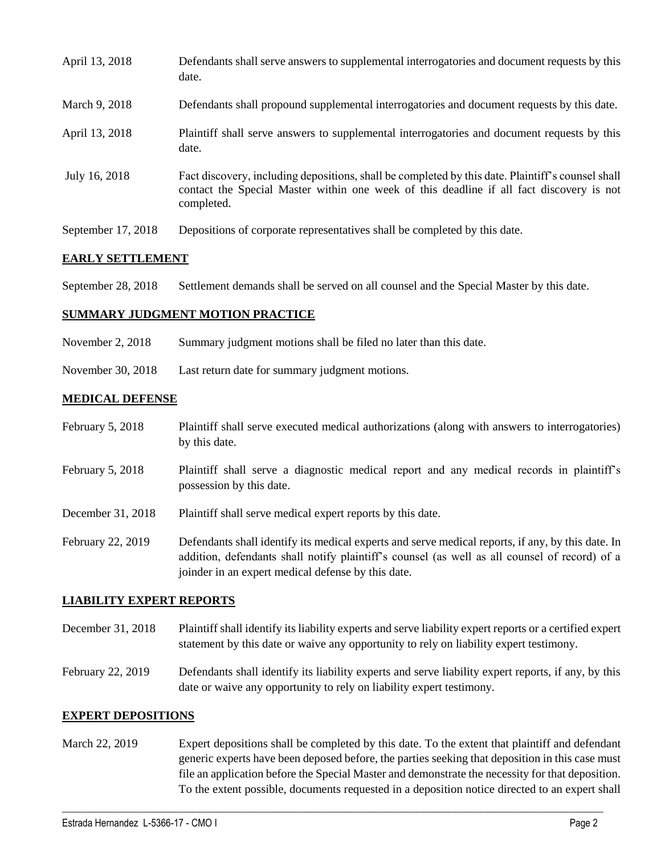| April 13, 2018     | Defendants shall serve answers to supplemental interrogatories and document requests by this<br>date.                                                                                                       |
|--------------------|-------------------------------------------------------------------------------------------------------------------------------------------------------------------------------------------------------------|
| March 9, 2018      | Defendants shall propound supplemental interrogatories and document requests by this date.                                                                                                                  |
| April 13, 2018     | Plaintiff shall serve answers to supplemental interrogatories and document requests by this<br>date.                                                                                                        |
| July 16, 2018      | Fact discovery, including depositions, shall be completed by this date. Plaintiff's counsel shall<br>contact the Special Master within one week of this deadline if all fact discovery is not<br>completed. |
| September 17, 2018 | Depositions of corporate representatives shall be completed by this date.                                                                                                                                   |

### **EARLY SETTLEMENT**

September 28, 2018 Settlement demands shall be served on all counsel and the Special Master by this date.

## **SUMMARY JUDGMENT MOTION PRACTICE**

- November 2, 2018 Summary judgment motions shall be filed no later than this date.
- November 30, 2018 Last return date for summary judgment motions.

### **MEDICAL DEFENSE**

- February 5, 2018 Plaintiff shall serve executed medical authorizations (along with answers to interrogatories) by this date.
- February 5, 2018 Plaintiff shall serve a diagnostic medical report and any medical records in plaintiff's possession by this date.
- December 31, 2018 Plaintiff shall serve medical expert reports by this date.
- February 22, 2019 Defendants shall identify its medical experts and serve medical reports, if any, by this date. In addition, defendants shall notify plaintiff's counsel (as well as all counsel of record) of a joinder in an expert medical defense by this date.

### **LIABILITY EXPERT REPORTS**

- December 31, 2018 Plaintiff shall identify its liability experts and serve liability expert reports or a certified expert statement by this date or waive any opportunity to rely on liability expert testimony.
- February 22, 2019 Defendants shall identify its liability experts and serve liability expert reports, if any, by this date or waive any opportunity to rely on liability expert testimony.

### **EXPERT DEPOSITIONS**

March 22, 2019 Expert depositions shall be completed by this date. To the extent that plaintiff and defendant generic experts have been deposed before, the parties seeking that deposition in this case must file an application before the Special Master and demonstrate the necessity for that deposition. To the extent possible, documents requested in a deposition notice directed to an expert shall

 $\_$  ,  $\_$  ,  $\_$  ,  $\_$  ,  $\_$  ,  $\_$  ,  $\_$  ,  $\_$  ,  $\_$  ,  $\_$  ,  $\_$  ,  $\_$  ,  $\_$  ,  $\_$  ,  $\_$  ,  $\_$  ,  $\_$  ,  $\_$  ,  $\_$  ,  $\_$  ,  $\_$  ,  $\_$  ,  $\_$  ,  $\_$  ,  $\_$  ,  $\_$  ,  $\_$  ,  $\_$  ,  $\_$  ,  $\_$  ,  $\_$  ,  $\_$  ,  $\_$  ,  $\_$  ,  $\_$  ,  $\_$  ,  $\_$  ,